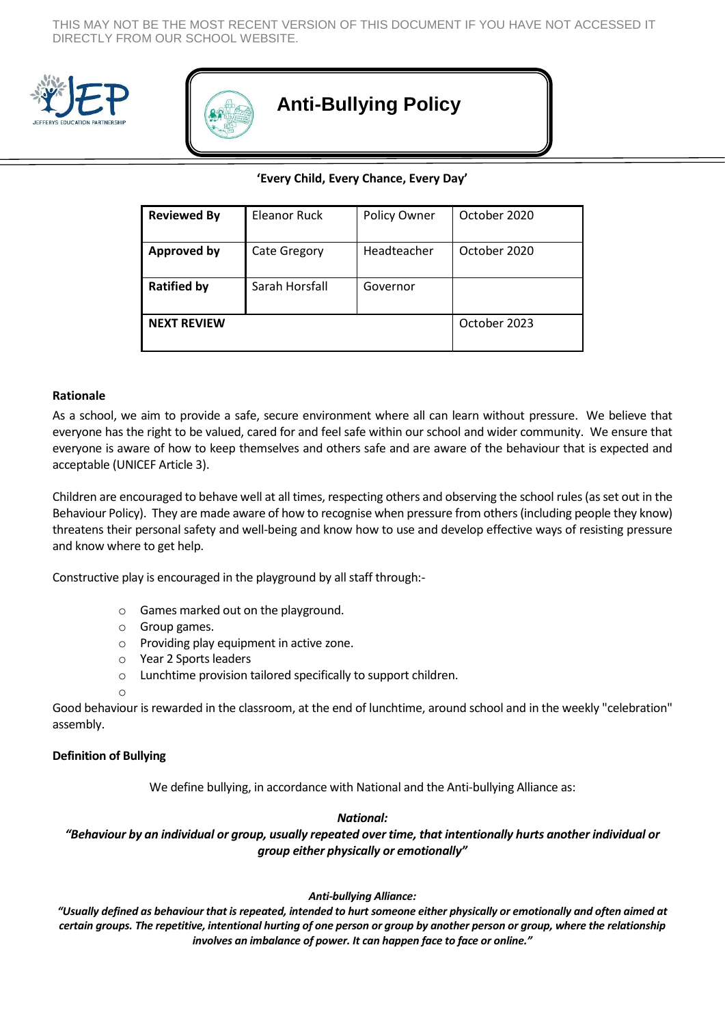THIS MAY NOT BE THE MOST RECENT VERSION OF THIS DOCUMENT IF YOU HAVE NOT ACCESSED IT DIRECTLY FROM OUR SCHOOL WEBSITE.





# **Anti-Bullying Policy**

## **'Every Child, Every Chance, Every Day'**

| <b>Reviewed By</b> | <b>Eleanor Ruck</b> | Policy Owner | October 2020 |
|--------------------|---------------------|--------------|--------------|
| <b>Approved by</b> | Cate Gregory        | Headteacher  | October 2020 |
| <b>Ratified by</b> | Sarah Horsfall      | Governor     |              |
| <b>NEXT REVIEW</b> |                     |              | October 2023 |

#### **Rationale**

As a school, we aim to provide a safe, secure environment where all can learn without pressure. We believe that everyone has the right to be valued, cared for and feel safe within our school and wider community. We ensure that everyone is aware of how to keep themselves and others safe and are aware of the behaviour that is expected and acceptable (UNICEF Article 3).

Children are encouraged to behave well at all times, respecting others and observing the school rules (as set out in the Behaviour Policy). They are made aware of how to recognise when pressure from others (including people they know) threatens their personal safety and well-being and know how to use and develop effective ways of resisting pressure and know where to get help.

Constructive play is encouraged in the playground by all staff through:-

- o Games marked out on the playground.
- o Group games.
- o Providing play equipment in active zone.
- o Year 2 Sports leaders
- o Lunchtime provision tailored specifically to support children.
- o

Good behaviour is rewarded in the classroom, at the end of lunchtime, around school and in the weekly "celebration" assembly.

#### **Definition of Bullying**

We define bullying, in accordance with National and the Anti-bullying Alliance as:

### *National:*

*"Behaviour by an individual or group, usually repeated over time, that intentionally hurts another individual or group either physically or emotionally"*

#### *Anti-bullying Alliance:*

*"Usually defined as behaviour that is repeated, intended to hurt someone either physically or emotionally and often aimed at certain groups. The repetitive, intentional hurting of one person or group by another person or group, where the relationship involves an imbalance of power. It can happen face to face or online."*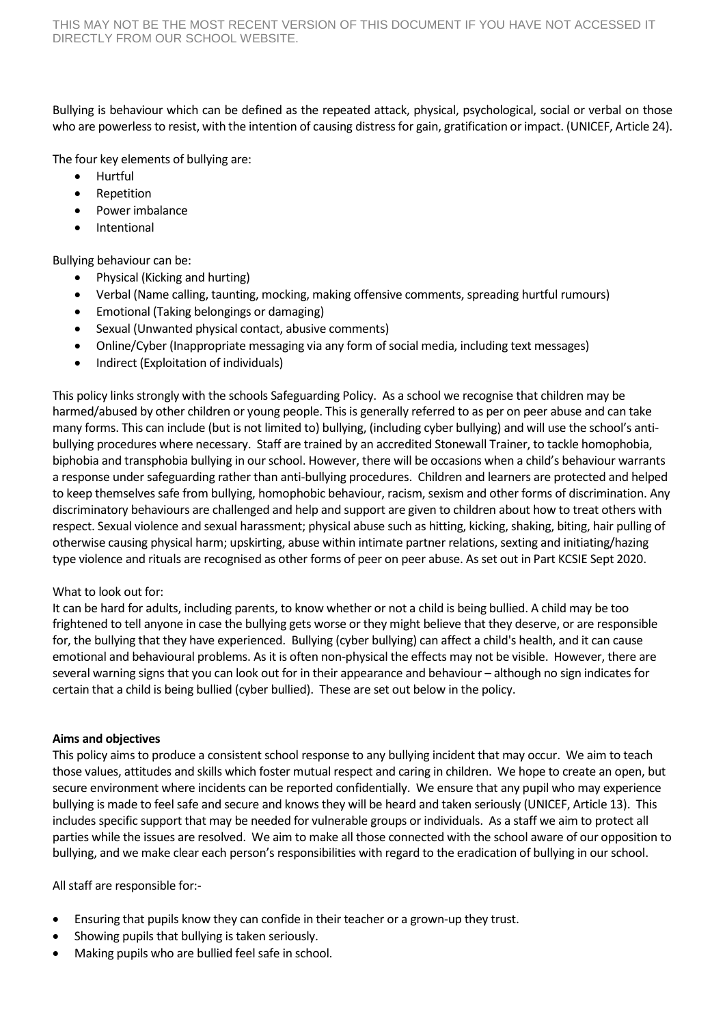Bullying is behaviour which can be defined as the repeated attack, physical, psychological, social or verbal on those who are powerless to resist, with the intention of causing distress for gain, gratification or impact. (UNICEF, Article 24).

The four key elements of bullying are:

- Hurtful
- Repetition
- Power imbalance
- Intentional

Bullying behaviour can be:

- Physical (Kicking and hurting)
- Verbal (Name calling, taunting, mocking, making offensive comments, spreading hurtful rumours)
- Emotional (Taking belongings or damaging)
- Sexual (Unwanted physical contact, abusive comments)
- Online/Cyber (Inappropriate messaging via any form of social media, including text messages)
- Indirect (Exploitation of individuals)

This policy links strongly with the schools Safeguarding Policy. As a school we recognise that children may be harmed/abused by other children or young people. This is generally referred to as per on peer abuse and can take many forms. This can include (but is not limited to) bullying, (including cyber bullying) and will use the school's antibullying procedures where necessary. Staff are trained by an accredited Stonewall Trainer, to tackle homophobia, biphobia and transphobia bullying in our school. However, there will be occasions when a child's behaviour warrants a response under safeguarding rather than anti-bullying procedures. Children and learners are protected and helped to keep themselves safe from bullying, homophobic behaviour, racism, sexism and other forms of discrimination. Any discriminatory behaviours are challenged and help and support are given to children about how to treat others with respect. Sexual violence and sexual harassment; physical abuse such as hitting, kicking, shaking, biting, hair pulling of otherwise causing physical harm; upskirting, abuse within intimate partner relations, sexting and initiating/hazing type violence and rituals are recognised as other forms of peer on peer abuse. As set out in Part KCSIE Sept 2020.

## What to look out for:

It can be hard for adults, including parents, to know whether or not a child is being bullied. A child may be too frightened to tell anyone in case the bullying gets worse or they might believe that they deserve, or are responsible for, the bullying that they have experienced. Bullying (cyber bullying) can affect a child's health, and it can cause emotional and behavioural problems. As it is often non-physical the effects may not be visible. However, there are several warning signs that you can look out for in their appearance and behaviour – although no sign indicates for certain that a child is being bullied (cyber bullied). These are set out below in the policy.

## **Aims and objectives**

This policy aims to produce a consistent school response to any bullying incident that may occur. We aim to teach those values, attitudes and skills which foster mutual respect and caring in children. We hope to create an open, but secure environment where incidents can be reported confidentially. We ensure that any pupil who may experience bullying is made to feel safe and secure and knows they will be heard and taken seriously (UNICEF, Article 13). This includes specific support that may be needed for vulnerable groups or individuals. As a staff we aim to protect all parties while the issues are resolved. We aim to make all those connected with the school aware of our opposition to bullying, and we make clear each person's responsibilities with regard to the eradication of bullying in our school.

All staff are responsible for:-

- Ensuring that pupils know they can confide in their teacher or a grown-up they trust.
- Showing pupils that bullying is taken seriously.
- Making pupils who are bullied feel safe in school.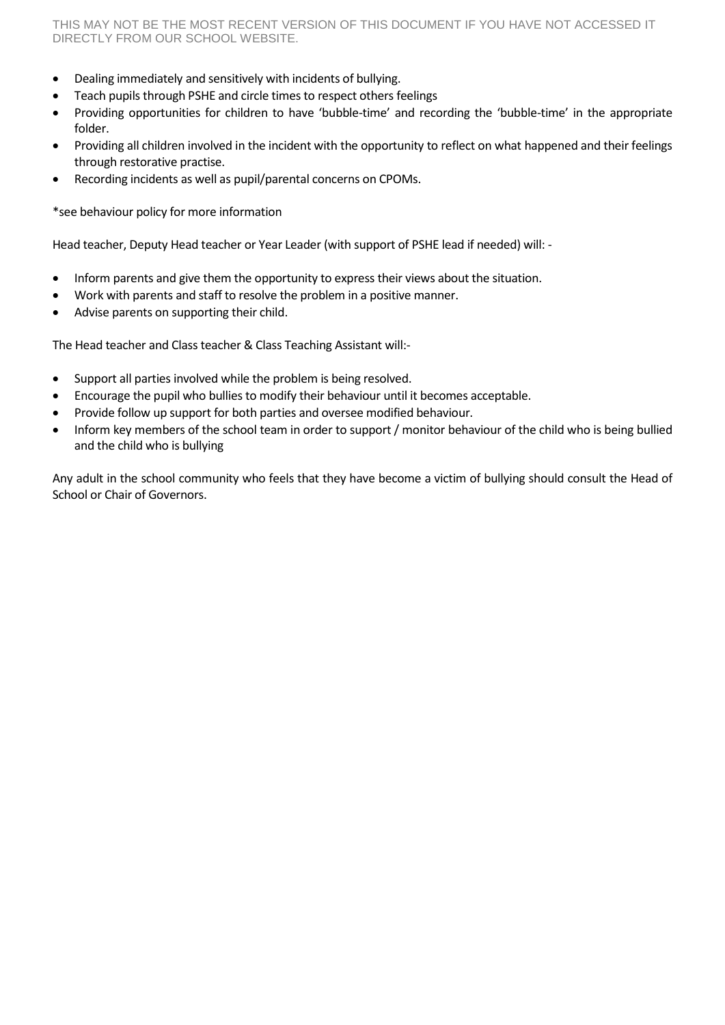- Dealing immediately and sensitively with incidents of bullying.
- Teach pupils through PSHE and circle times to respect others feelings
- Providing opportunities for children to have 'bubble-time' and recording the 'bubble-time' in the appropriate folder.
- Providing all children involved in the incident with the opportunity to reflect on what happened and their feelings through restorative practise.
- Recording incidents as well as pupil/parental concerns on CPOMs.

\*see behaviour policy for more information

Head teacher, Deputy Head teacher or Year Leader (with support of PSHE lead if needed) will: -

- Inform parents and give them the opportunity to express their views about the situation.
- Work with parents and staff to resolve the problem in a positive manner.
- Advise parents on supporting their child.

The Head teacher and Class teacher & Class Teaching Assistant will:-

- Support all parties involved while the problem is being resolved.
- Encourage the pupil who bullies to modify their behaviour until it becomes acceptable.
- Provide follow up support for both parties and oversee modified behaviour.
- Inform key members of the school team in order to support / monitor behaviour of the child who is being bullied and the child who is bullying

Any adult in the school community who feels that they have become a victim of bullying should consult the Head of School or Chair of Governors.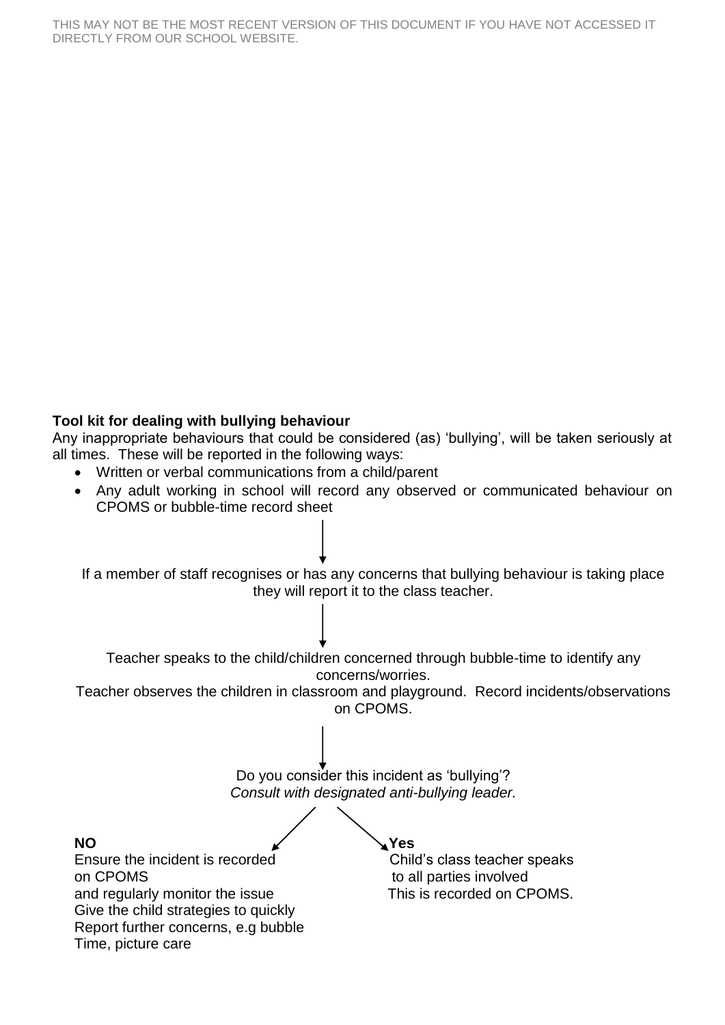## **Tool kit for dealing with bullying behaviour**

Any inappropriate behaviours that could be considered (as) 'bullying', will be taken seriously at all times. These will be reported in the following ways:

- Written or verbal communications from a child/parent
- Any adult working in school will record any observed or communicated behaviour on CPOMS or bubble-time record sheet

If a member of staff recognises or has any concerns that bullying behaviour is taking place they will report it to the class teacher. Teacher speaks to the child/children concerned through bubble-time to identify any concerns/worries. Teacher observes the children in classroom and playground. Record incidents/observations on CPOMS. Do you consider this incident as 'bullying'? *Consult with designated anti-bullying leader.* **NO Yes** Ensure the incident is recorded Child's class teacher speaks on CPOMS to all parties involved and regularly monitor the issue This is recorded on CPOMS. Give the child strategies to quickly Report further concerns, e.g bubble Time, picture care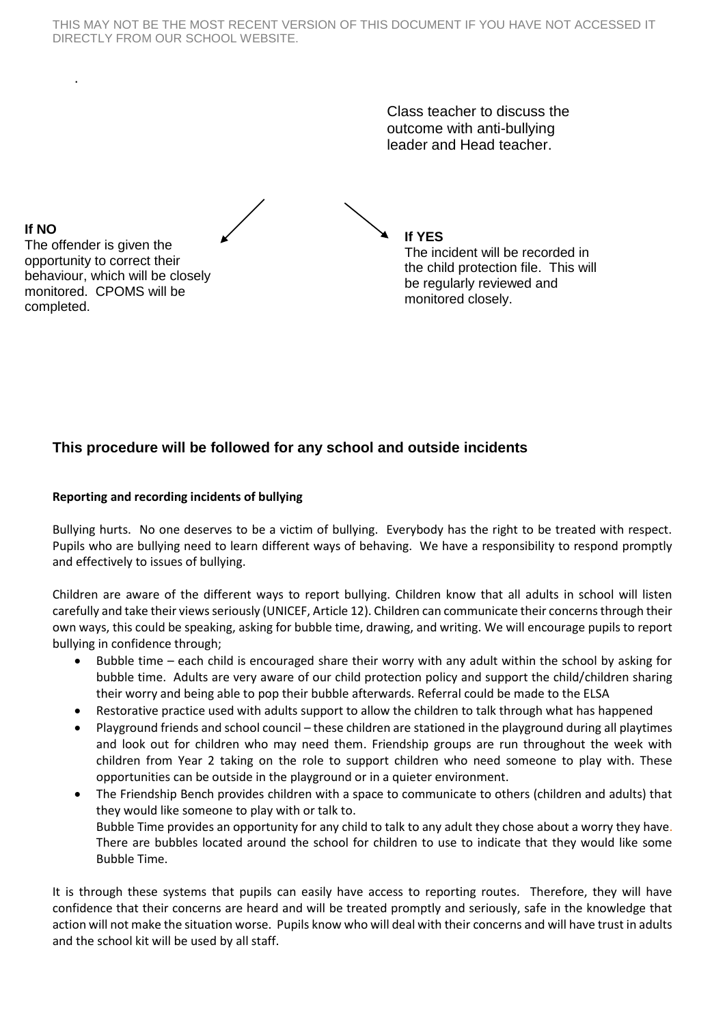THIS MAY NOT BE THE MOST RECENT VERSION OF THIS DOCUMENT IF YOU HAVE NOT ACCESSED IT DIRECTLY FROM OUR SCHOOL WEBSITE.

> Class teacher to discuss the outcome with anti-bullying leader and Head teacher.

$$
\sim
$$

**If YES** The incident will be recorded in the child protection file. This will be regularly reviewed and monitored closely.

**If NO** The offender is given the opportunity to correct their behaviour, which will be closely monitored. CPOMS will be completed.

.

# **This procedure will be followed for any school and outside incidents**

### **Reporting and recording incidents of bullying**

Bullying hurts. No one deserves to be a victim of bullying. Everybody has the right to be treated with respect. Pupils who are bullying need to learn different ways of behaving. We have a responsibility to respond promptly and effectively to issues of bullying.

Children are aware of the different ways to report bullying. Children know that all adults in school will listen carefully and take their views seriously (UNICEF, Article 12). Children can communicate their concerns through their own ways, this could be speaking, asking for bubble time, drawing, and writing. We will encourage pupils to report bullying in confidence through;

- Bubble time each child is encouraged share their worry with any adult within the school by asking for bubble time. Adults are very aware of our child protection policy and support the child/children sharing their worry and being able to pop their bubble afterwards. Referral could be made to the ELSA
- Restorative practice used with adults support to allow the children to talk through what has happened
- Playground friends and school council these children are stationed in the playground during all playtimes and look out for children who may need them. Friendship groups are run throughout the week with children from Year 2 taking on the role to support children who need someone to play with. These opportunities can be outside in the playground or in a quieter environment.
- The Friendship Bench provides children with a space to communicate to others (children and adults) that they would like someone to play with or talk to. Bubble Time provides an opportunity for any child to talk to any adult they chose about a worry they have. There are bubbles located around the school for children to use to indicate that they would like some Bubble Time.

It is through these systems that pupils can easily have access to reporting routes. Therefore, they will have confidence that their concerns are heard and will be treated promptly and seriously, safe in the knowledge that action will not make the situation worse. Pupils know who will deal with their concerns and will have trust in adults and the school kit will be used by all staff.